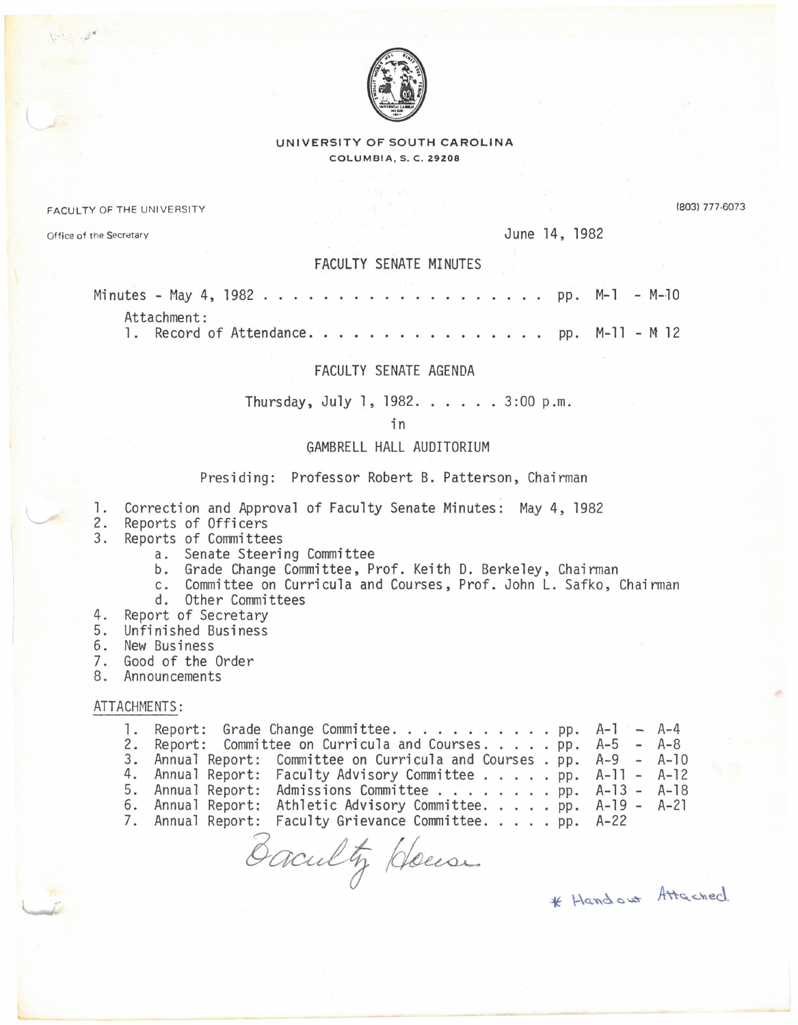

UNIVERSITY OF SOUTH CAROLINA COLUMBIA, S. C. 29208

FACULTY OF THE UNIVERSITY

(803) 777-6073

Office of the Secretary June 14, 1982

## FACULTY SENATE MINUTES

| Attachment:                              |  |  |  |  |  |  |  |  |  |  |  |  |  |
|------------------------------------------|--|--|--|--|--|--|--|--|--|--|--|--|--|
| 1. Record of Attendance. pp. M-11 - M 12 |  |  |  |  |  |  |  |  |  |  |  |  |  |

## FACULTY SENATE AGENDA

Thursday, July l, 1982. . . . . 3:00 p.m.

in

## GAMBRELL HALL AUDITORIUM

Presiding: Professor Robert B. Patterson, Chairman

- 1. Correction and Approval of Faculty Senate Minutes: May 4, 1982
- 2. Reports of Officers
- Reports of Committees
	- a. Senate Steering Committee
	- b. Grade Change Committee, Prof. Keith D. Berkeley, Chairman
	- c. Committee on Curricula and Courses, Prof. John L. Safko, Chairman
	- d. Other Committees
- 4. Report of Secretary
- 5. Unfinished Business
- 6. New Business
- 7. Good of the Order
- 8. Announcements

## ATTACHMENTS:

|  | 1. Report: Grade Change Committee. pp. A-1 - A-4                     |  |
|--|----------------------------------------------------------------------|--|
|  | 2. Report: Committee on Curricula and Courses pp. A-5 - A-8          |  |
|  | 3. Annual Report: Committee on Curricula and Courses. pp. A-9 - A-10 |  |
|  | 4. Annual Report: Faculty Advisory Committee pp. A-11 - A-12         |  |
|  | 5. Annual Report: Admissions Committee pp. A-13 - A-18               |  |
|  | 6. Annual Report: Athletic Advisory Committee. pp. A-19 - A-21       |  |
|  | 7. Annual Report: Faculty Grievance Committee. pp. A-22              |  |
|  |                                                                      |  |

Baculty Heresa \* Handout Attached.